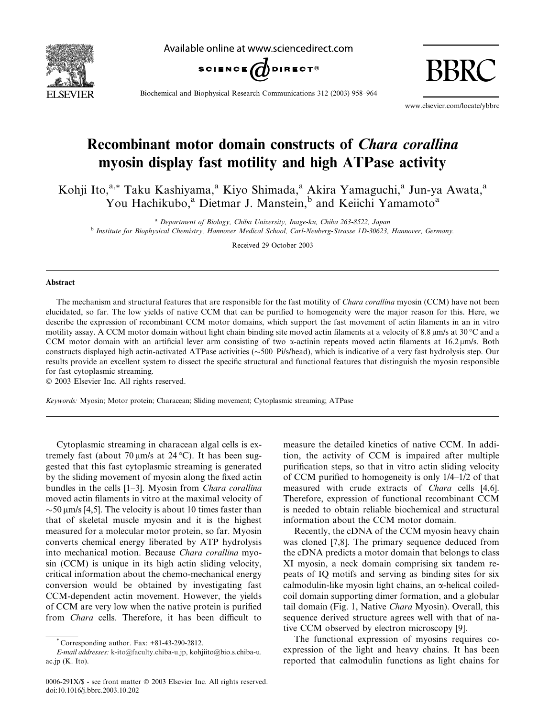

Available online at www.sciencedirect.com



BBRC

Biochemical and Biophysical Research Communications 312 (2003) 958–964

www.elsevier.com/locate/ybbrc

# Recombinant motor domain constructs of Chara corallina myosin display fast motility and high ATPase activity

Kohji Ito,<sup>a,\*</sup> Taku Kashiyama,<sup>a</sup> Kiyo Shimada,<sup>a</sup> Akira Yamaguchi,<sup>a</sup> Jun-ya Awata,<sup>a</sup> You Hachikubo,<sup>a</sup> Dietmar J. Manstein,<sup>b</sup> and Keiichi Yamamoto<sup>a</sup>

<sup>a</sup> Department of Biology, Chiba University, Inage-ku, Chiba 263-8522, Japan <sup>b</sup> Institute for Biophysical Chemistry, Hannover Medical School, Carl-Neuberg-Strasse 1D-30623, Hannover, Germany.

Received 29 October 2003

## Abstract

The mechanism and structural features that are responsible for the fast motility of *Chara corallina* myosin (CCM) have not been elucidated, so far. The low yields of native CCM that can be purified to homogeneity were the major reason for this. Here, we describe the expression of recombinant CCM motor domains, which support the fast movement of actin filaments in an in vitro motility assay. A CCM motor domain without light chain binding site moved actin filaments at a velocity of 8.8 km/s at 30 °C and a CCM motor domain with an artificial lever arm consisting of two  $\alpha$ -actinin repeats moved actin filaments at 16.2 µm/s. Both constructs displayed high actin-activated ATPase activities ( $\sim$ 500 Pi/s/head), which is indicative of a very fast hydrolysis step. Our results provide an excellent system to dissect the specific structural and functional features that distinguish the myosin responsible for fast cytoplasmic streaming.

 $© 2003 Elsevier Inc. All rights reserved.$ 

Keywords: Myosin; Motor protein; Characean; Sliding movement; Cytoplasmic streaming; ATPase

Cytoplasmic streaming in characean algal cells is extremely fast (about 70  $\mu$ m/s at 24 °C). It has been suggested that this fast cytoplasmic streaming is generated by the sliding movement of myosin along the fixed actin bundles in the cells [1–3]. Myosin from Chara corallina moved actin filaments in vitro at the maximal velocity of  $\sim$ 50 µm/s [4,5]. The velocity is about 10 times faster than that of skeletal muscle myosin and it is the highest measured for a molecular motor protein, so far. Myosin converts chemical energy liberated by ATP hydrolysis into mechanical motion. Because Chara corallina myosin (CCM) is unique in its high actin sliding velocity, critical information about the chemo-mechanical energy conversion would be obtained by investigating fast CCM-dependent actin movement. However, the yields of CCM are very low when the native protein is purified from Chara cells. Therefore, it has been difficult to

measure the detailed kinetics of native CCM. In addition, the activity of CCM is impaired after multiple purification steps, so that in vitro actin sliding velocity of CCM purified to homogeneity is only 1/4–1/2 of that measured with crude extracts of Chara cells [4,6]. Therefore, expression of functional recombinant CCM is needed to obtain reliable biochemical and structural information about the CCM motor domain.

Recently, the cDNA of the CCM myosin heavy chain was cloned [7,8]. The primary sequence deduced from the cDNA predicts a motor domain that belongs to class XI myosin, a neck domain comprising six tandem repeats of IQ motifs and serving as binding sites for six calmodulin-like myosin light chains, an  $\alpha$ -helical coiledcoil domain supporting dimer formation, and a globular tail domain (Fig. 1, Native Chara Myosin). Overall, this sequence derived structure agrees well with that of native CCM observed by electron microscopy [9].

The functional expression of myosins requires coexpression of the light and heavy chains. It has been reported that calmodulin functions as light chains for

 $^*$  Corresponding author. Fax:  $+81-43-290-2812$ .

E-mail addresses: [k-ito@faculty.chiba-u.jp,](mail to: k-ito@faculty.chiba-u.jp,) kohjiito@bio.s.chiba-u. ac.jp (K. Ito).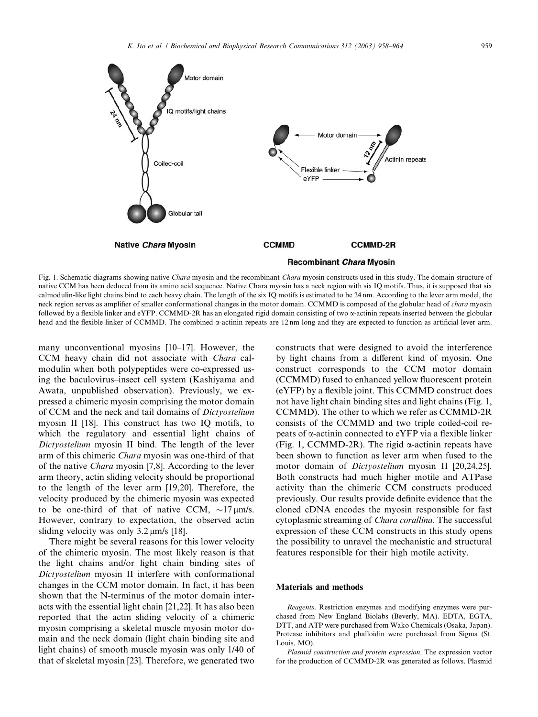

Fig. 1. Schematic diagrams showing native Chara myosin and the recombinant Chara myosin constructs used in this study. The domain structure of native CCM has been deduced from its amino acid sequence. Native Chara myosin has a neck region with six IQ motifs. Thus, it is supposed that six calmodulin-like light chains bind to each heavy chain. The length of the six IQ motifs is estimated to be 24 nm. According to the lever arm model, the neck region serves as amplifier of smaller conformational changes in the motor domain. CCMMD is composed of the globular head of *chara* myosin followed by a flexible linker and eYFP. CCMMD-2R has an elongated rigid domain consisting of two a-actinin repeats inserted between the globular head and the flexible linker of CCMMD. The combined  $\alpha$ -actinin repeats are 12 nm long and they are expected to function as artificial lever arm.

many unconventional myosins [10–17]. However, the CCM heavy chain did not associate with Chara calmodulin when both polypeptides were co-expressed using the baculovirus–insect cell system (Kashiyama and Awata, unpublished observation). Previously, we expressed a chimeric myosin comprising the motor domain of CCM and the neck and tail domains of Dictyostelium myosin II [18]. This construct has two IQ motifs, to which the regulatory and essential light chains of Dictyostelium myosin II bind. The length of the lever arm of this chimeric Chara myosin was one-third of that of the native Chara myosin [7,8]. According to the lever arm theory, actin sliding velocity should be proportional to the length of the lever arm [19,20]. Therefore, the velocity produced by the chimeric myosin was expected to be one-third of that of native CCM,  $\sim$ 17  $\mu$ m/s. However, contrary to expectation, the observed actin sliding velocity was only  $3.2 \text{ µm/s}$  [18].

There might be several reasons for this lower velocity of the chimeric myosin. The most likely reason is that the light chains and/or light chain binding sites of Dictyostelium myosin II interfere with conformational changes in the CCM motor domain. In fact, it has been shown that the N-terminus of the motor domain interacts with the essential light chain [21,22]. It has also been reported that the actin sliding velocity of a chimeric myosin comprising a skeletal muscle myosin motor domain and the neck domain (light chain binding site and light chains) of smooth muscle myosin was only 1/40 of that of skeletal myosin [23]. Therefore, we generated two

constructs that were designed to avoid the interference by light chains from a different kind of myosin. One construct corresponds to the CCM motor domain (CCMMD) fused to enhanced yellow fluorescent protein (eYFP) by a flexible joint. This CCMMD construct does not have light chain binding sites and light chains (Fig. 1, CCMMD). The other to which we refer as CCMMD-2R consists of the CCMMD and two triple coiled-coil repeats of a-actinin connected to eYFP via a flexible linker (Fig. 1, CCMMD-2R). The rigid  $\alpha$ -actinin repeats have been shown to function as lever arm when fused to the motor domain of Dictyostelium myosin II [20,24,25]. Both constructs had much higher motile and ATPase activity than the chimeric CCM constructs produced previously. Our results provide definite evidence that the cloned cDNA encodes the myosin responsible for fast cytoplasmic streaming of Chara corallina. The successful expression of these CCM constructs in this study opens the possibility to unravel the mechanistic and structural features responsible for their high motile activity.

## Materials and methods

Reagents. Restriction enzymes and modifying enzymes were purchased from New England Biolabs (Beverly, MA). EDTA, EGTA, DTT, and ATP were purchased from Wako Chemicals (Osaka, Japan). Protease inhibitors and phalloidin were purchased from Sigma (St. Louis, MO).

Plasmid construction and protein expression. The expression vector for the production of CCMMD-2R was generated as follows. Plasmid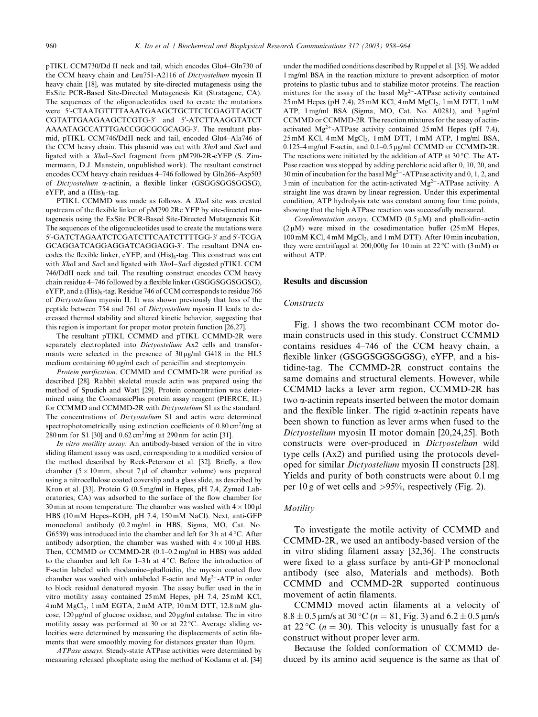pTIKL CCM730/Dd II neck and tail, which encodes Glu4–Gln730 of the CCM heavy chain and Leu751-A2116 of Dictyostelium myosin II heavy chain [18], was mutated by site-directed mutagenesis using the ExSite PCR-Based Site-Directed Mutagenesis Kit (Stratagene, CA). The sequences of the oligonucleotides used to create the mutations were 5'-CTAATGTTTTAAATGAAGCTGCTTCTCGAGTTAGCT CGTATTGAAGAAGCTCGTG-3' and 5'-ATCTTAAGGTATCT AAAATAGCCATTTGACCGGCGCGCAGG-3'. The resultant plasmid, pTIKL CCM746/DdII neck and tail, encoded Glu4–Ala746 of the CCM heavy chain. This plasmid was cut with XhoI and SacI and ligated with a XhoI–SacI fragment from pM790-2R-eYFP (S. Zimmermann, D.J. Manstein, unpublished work). The resultant construct encodes CCM heavy chain residues 4–746 followed by Gln266–Asp503 of Dictyostelium a-actinin, a flexible linker (GSGGSGGSGGSG), eYFP, and a  $(His)_{8}$ -tag.

PTIKL CCMMD was made as follows. A XhoI site was created upstream of the flexible linker of pM790 2Re YFP by site-directed mutagenesis using the ExSite PCR-Based Site-Directed Mutagenesis Kit. The sequences of the oligonucleotides used to create the mutations were 5'-GATCTAGAATCTCGATCTTCAATCTTTTGG-3' and 5'-TCGA GCAGGATCAGGAGGATCAGGAGG-3'. The resultant DNA encodes the flexible linker,  $eYFP$ , and  $(His)_{8}$ -tag. This construct was cut with XhoI and SacI and ligated with XhoI-SacI digested pTIKL CCM 746/DdII neck and tail. The resulting construct encodes CCM heavy chain residue 4–746 followed by a flexible linker (GSGGSGGSGGSG), eYFP, and a  $(His)_8$ -tag. Residue 746 of CCM corresponds to residue 766 of Dictyostelium myosin II. It was shown previously that loss of the peptide between 754 and 761 of Dictyostelium myosin II leads to decreased thermal stability and altered kinetic behavior, suggesting that this region is important for proper motor protein function [26,27].

The resultant pTIKL CCMMD and pTIKL CCMMD-2R were separately electroplated into Dictyostelium Ax2 cells and transformants were selected in the presence of  $30 \,\mu\text{g/ml}$  G418 in the HL5 medium containing 60  $\mu$ g/ml each of penicillin and streptomycin.

Protein purification. CCMMD and CCMMD-2R were purified as described [28]. Rabbit skeletal muscle actin was prepared using the method of Spudich and Watt [29]. Protein concentration was determined using the CoomassiePlus protein assay reagent (PIERCE, IL) for CCMMD and CCMMD-2R with Dictyostelium S1 as the standard. The concentrations of *Dictyostelium* S1 and actin were determined spectrophotometrically using extinction coefficients of  $0.80 \text{ cm}^2/\text{mg}$  at 280 nm for S1 [30] and 0.62 cm2/mg at 290 nm for actin [31].

In vitro motility assay. An antibody-based version of the in vitro sliding filament assay was used, corresponding to a modified version of the method described by Reck-Peterson et al. [32]. Briefly, a flow chamber  $(5 \times 10 \text{ mm})$ , about 7 µl of chamber volume) was prepared using a nitrocellulose coated coverslip and a glass slide, as described by Kron et al. [33]. Protein G (0.5 mg/ml in Hepes, pH 7.4, Zymed Laboratories, CA) was adsorbed to the surface of the flow chamber for 30 min at room temperature. The chamber was washed with  $4 \times 100 \,\mu$ l HBS (10 mM Hepes–KOH, pH 7.4, 150 mM NaCl). Next, anti-GFP monoclonal antibody (0.2 mg/ml in HBS, Sigma, MO, Cat. No. G6539) was introduced into the chamber and left for 3 h at  $4^{\circ}$ C. After antibody adsorption, the chamber was washed with  $4 \times 100 \,\mu$ l HBS. Then, CCMMD or CCMMD-2R (0.1–0.2 mg/ml in HBS) was added to the chamber and left for  $1-3h$  at  $4°C$ . Before the introduction of F-actin labeled with rhodamine–phalloidin, the myosin coated flow chamber was washed with unlabeled F-actin and  $Mg^{2+}$ -ATP in order to block residual denatured myosin. The assay buffer used in the in vitro motility assay contained 25 mM Hepes, pH 7.4, 25 mM KCl, 4 mM MgCl2, 1 mM EGTA, 2 mM ATP, 10 mM DTT, 12.8 mM glucose,  $120 \mu g/ml$  of glucose oxidase, and  $20 \mu g/ml$  catalase. The in vitro motility assay was performed at 30 or at  $22^{\circ}$ C. Average sliding velocities were determined by measuring the displacements of actin filaments that were smoothly moving for distances greater than  $10 \mu m$ .

ATPase assays. Steady-state ATPase activities were determined by measuring released phosphate using the method of Kodama et al. [34]

under the modified conditions described by Ruppel et al. [35]. We added 1 mg/ml BSA in the reaction mixture to prevent adsorption of motor proteins to plastic tubus and to stabilize motor proteins. The reaction mixtures for the assay of the basal  $Mg^{2+}$ -ATPase activity contained 25 mM Hepes (pH 7.4), 25 mM KCl, 4 mM MgCl<sub>2</sub>, 1 mM DTT, 1 mM ATP, 1 mg/ml BSA (Sigma, MO, Cat. No. A0281), and 3 µg/ml CCMMD or CCMMD-2R. The reaction mixtures for the assay of actinactivated  $Mg^{2+}$ -ATPase activity contained 25 mM Hepes (pH 7.4), 25 mM KCl, 4 mM MgCl<sub>2</sub>, 1 mM DTT, 1 mM ATP, 1 mg/ml BSA, 0.125–4 mg/ml F-actin, and 0.1–0.5 µg/ml CCMMD or CCMMD-2R. The reactions were initiated by the addition of ATP at  $30^{\circ}$ C. The AT-Pase reaction was stopped by adding perchloric acid after 0, 10, 20, and 30 min of incubation for the basal  $Mg^{2+}$ -ATPase activity and 0, 1, 2, and 3 min of incubation for the actin-activated  $Mg^{2+}$ -ATPase activity. A straight line was drawn by linear regression. Under this experimental condition, ATP hydrolysis rate was constant among four time points, showing that the high ATPase reaction was successfully measured.

Cosedimentation assays. CCMMD  $(0.5 \mu M)$  and phalloidin–actin  $(2 \mu M)$  were mixed in the cosedimentation buffer  $(25 \text{ mM})$  Hepes, 100 mM KCl, 4 mM MgCl<sub>2</sub>, and 1 mM DTT). After 10 min incubation. they were centrifuged at 200,000g for 10 min at  $22^{\circ}$ C with (3 mM) or without ATP.

## Results and discussion

#### **Constructs**

Fig. 1 shows the two recombinant CCM motor domain constructs used in this study. Construct CCMMD contains residues 4–746 of the CCM heavy chain, a flexible linker (GSGGSGGSGGSG), eYFP, and a histidine-tag. The CCMMD-2R construct contains the same domains and structural elements. However, while CCMMD lacks a lever arm region, CCMMD-2R has two a-actinin repeats inserted between the motor domain and the flexible linker. The rigid  $\alpha$ -actinin repeats have been shown to function as lever arms when fused to the Dictyostelium myosin II motor domain [20,24,25]. Both constructs were over-produced in Dictyostelium wild type cells (Ax2) and purified using the protocols developed for similar Dictyostelium myosin II constructs [28]. Yields and purity of both constructs were about 0.1 mg per 10 g of wet cells and >95%, respectively (Fig. 2).

## **Motility**

To investigate the motile activity of CCMMD and CCMMD-2R, we used an antibody-based version of the in vitro sliding filament assay [32,36]. The constructs were fixed to a glass surface by anti-GFP monoclonal antibody (see also, Materials and methods). Both CCMMD and CCMMD-2R supported continuous movement of actin filaments.

CCMMD moved actin filaments at a velocity of  $8.8 \pm 0.5$  µm/s at 30 °C ( $n = 81$ , Fig. 3) and  $6.2 \pm 0.5$  µm/s at 22 °C ( $n = 30$ ). This velocity is unusually fast for a construct without proper lever arm.

Because the folded conformation of CCMMD deduced by its amino acid sequence is the same as that of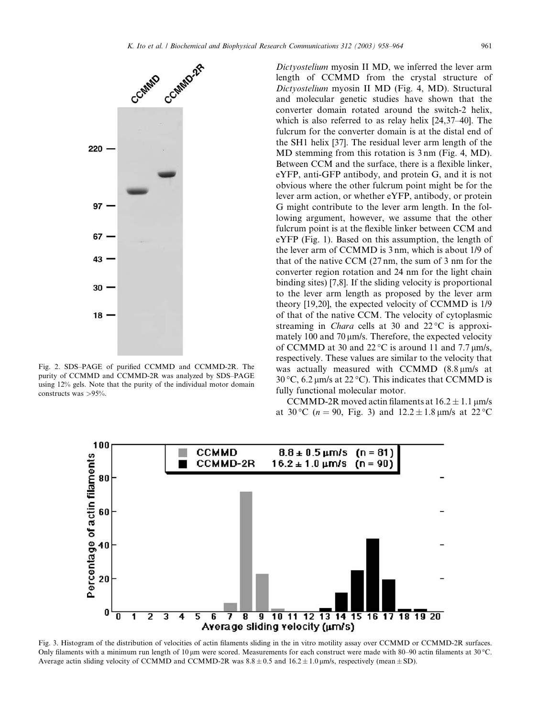

Fig. 2. SDS–PAGE of purified CCMMD and CCMMD-2R. The purity of CCMMD and CCMMD-2R was analyzed by SDS–PAGE using 12% gels. Note that the purity of the individual motor domain constructs was >95%.

Dictyostelium myosin II MD, we inferred the lever arm length of CCMMD from the crystal structure of Dictyostelium myosin II MD (Fig. 4, MD). Structural and molecular genetic studies have shown that the converter domain rotated around the switch-2 helix, which is also referred to as relay helix [24,37–40]. The fulcrum for the converter domain is at the distal end of the SH1 helix [37]. The residual lever arm length of the MD stemming from this rotation is 3 nm (Fig. 4, MD). Between CCM and the surface, there is a flexible linker, eYFP, anti-GFP antibody, and protein G, and it is not obvious where the other fulcrum point might be for the lever arm action, or whether eYFP, antibody, or protein G might contribute to the lever arm length. In the following argument, however, we assume that the other fulcrum point is at the flexible linker between CCM and eYFP (Fig. 1). Based on this assumption, the length of the lever arm of CCMMD is 3 nm, which is about 1/9 of that of the native CCM (27 nm, the sum of 3 nm for the converter region rotation and 24 nm for the light chain binding sites) [7,8]. If the sliding velocity is proportional to the lever arm length as proposed by the lever arm theory [19,20], the expected velocity of CCMMD is 1/9 of that of the native CCM. The velocity of cytoplasmic streaming in *Chara* cells at 30 and  $22^{\circ}$ C is approximately 100 and 70  $\mu$ m/s. Therefore, the expected velocity of CCMMD at 30 and  $22^{\circ}$ C is around 11 and 7.7  $\mu$ m/s, respectively. These values are similar to the velocity that was actually measured with CCMMD  $(8.8 \mu m/s)$  at 30 °C, 6.2  $\mu$ m/s at 22 °C). This indicates that CCMMD is fully functional molecular motor.

CCMMD-2R moved actin filaments at  $16.2 \pm 1.1$  µm/s at 30 °C ( $n = 90$ , Fig. 3) and  $12.2 \pm 1.8$  µm/s at 22 °C



Fig. 3. Histogram of the distribution of velocities of actin filaments sliding in the in vitro motility assay over CCMMD or CCMMD-2R surfaces. Only filaments with a minimum run length of 10  $\mu$ m were scored. Measurements for each construct were made with 80–90 actin filaments at 30 °C. Average actin sliding velocity of CCMMD and CCMMD-2R was  $8.8 \pm 0.5$  and  $16.2 \pm 1.0$  µm/s, respectively (mean  $\pm$  SD).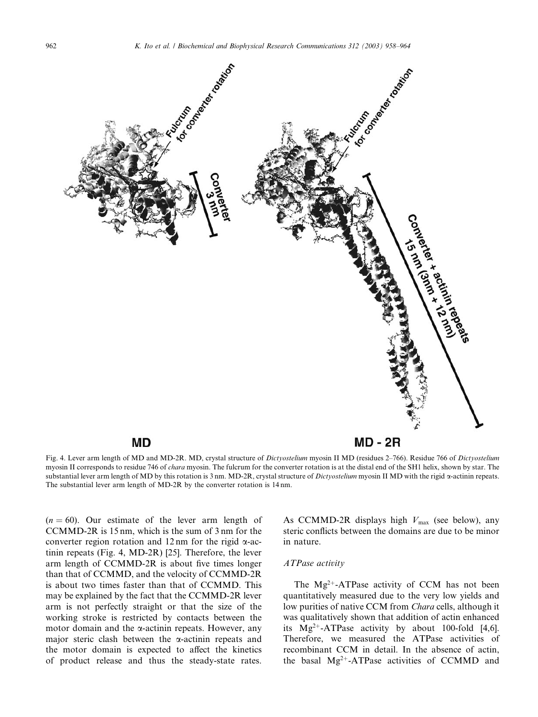

Fig. 4. Lever arm length of MD and MD-2R. MD, crystal structure of Dictyostelium myosin II MD (residues 2–766). Residue 766 of Dictyostelium myosin II corresponds to residue 746 of *chara* myosin. The fulcrum for the converter rotation is at the distal end of the SH1 helix, shown by star. The substantial lever arm length of MD by this rotation is 3 nm. MD-2R, crystal structure of Dictyostelium myosin II MD with the rigid a-actinin repeats. The substantial lever arm length of MD-2R by the converter rotation is 14 nm.

 $(n = 60)$ . Our estimate of the lever arm length of CCMMD-2R is 15 nm, which is the sum of 3 nm for the converter region rotation and 12 nm for the rigid  $\alpha$ -actinin repeats (Fig. 4, MD-2R) [25]. Therefore, the lever arm length of CCMMD-2R is about five times longer than that of CCMMD, and the velocity of CCMMD-2R is about two times faster than that of CCMMD. This may be explained by the fact that the CCMMD-2R lever arm is not perfectly straight or that the size of the working stroke is restricted by contacts between the motor domain and the  $\alpha$ -actinin repeats. However, any major steric clash between the  $\alpha$ -actinin repeats and the motor domain is expected to affect the kinetics of product release and thus the steady-state rates. As CCMMD-2R displays high  $V_{\text{max}}$  (see below), any steric conflicts between the domains are due to be minor in nature.

## ATPase activity

The  $Mg^{2+}$ -ATPase activity of CCM has not been quantitatively measured due to the very low yields and low purities of native CCM from Chara cells, although it was qualitatively shown that addition of actin enhanced its  $Mg^{2+}-ATP$ ase activity by about 100-fold [4,6]. Therefore, we measured the ATPase activities of recombinant CCM in detail. In the absence of actin, the basal  $Mg^{2+}-ATP$ ase activities of CCMMD and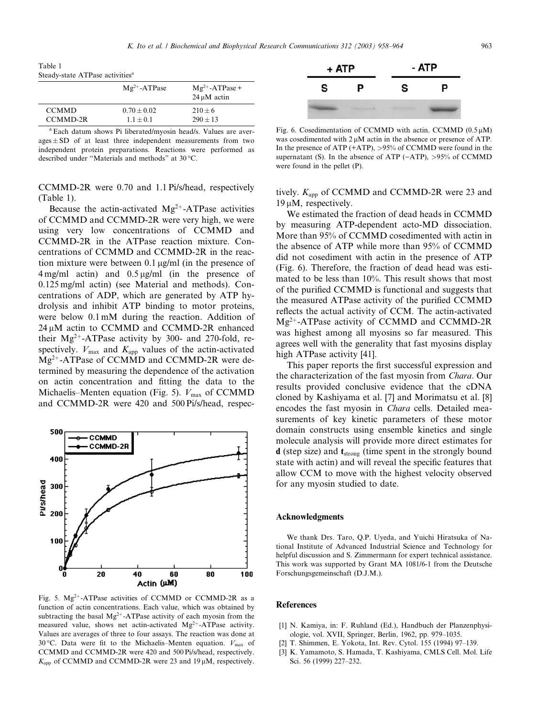Table 1 Steady-state ATPase activities<sup>a</sup>

|              | $Mg^{2+}$ -ATPase | $Mg^{2+}$ -ATPase +<br>$24 \mu M$ actin |
|--------------|-------------------|-----------------------------------------|
| <b>CCMMD</b> | $0.70 + 0.02$     | $210 + 6$                               |
| CCMMD-2R     | $1.1 + 0.1$       | $290 + 13$                              |

<sup>a</sup> Each datum shows Pi liberated/myosin head/s. Values are aver- $\text{ages} \pm \text{SD}$  of at least three independent measurements from two independent protein preparations. Reactions were performed as described under "Materials and methods" at 30 °C.

CCMMD-2R were 0.70 and 1.1 Pi/s/head, respectively (Table 1).

Because the actin-activated  $Mg^{2+}$ -ATPase activities of CCMMD and CCMMD-2R were very high, we were using very low concentrations of CCMMD and CCMMD-2R in the ATPase reaction mixture. Concentrations of CCMMD and CCMMD-2R in the reaction mixture were between  $0.1 \mu g/ml$  (in the presence of  $4 \text{ mg/ml}$  actin) and  $0.5 \text{ µg/ml}$  (in the presence of 0.125 mg/ml actin) (see Material and methods). Concentrations of ADP, which are generated by ATP hydrolysis and inhibit ATP binding to motor proteins, were below 0.1 mM during the reaction. Addition of 24  $\mu$ M actin to CCMMD and CCMMD-2R enhanced their  $Mg^{2+}$ -ATPase activity by 300- and 270-fold, respectively.  $V_{\text{max}}$  and  $K_{\text{app}}$  values of the actin-activated  $Mg^{2+}$ -ATPase of CCMMD and CCMMD-2R were determined by measuring the dependence of the activation on actin concentration and fitting the data to the Michaelis–Menten equation (Fig. 5).  $V_{\text{max}}$  of CCMMD and CCMMD-2R were 420 and 500 Pi/s/head, respec-



Fig. 5.  $Mg^{2+}$ -ATPase activities of CCMMD or CCMMD-2R as a function of actin concentrations. Each value, which was obtained by subtracting the basal  $Mg^{2+}$ -ATPase activity of each myosin from the measured value, shows net actin-activated  $Mg^{2+}$ -ATPase activity. Values are averages of three to four assays. The reaction was done at 30 °C. Data were fit to the Michaelis–Menten equation.  $V_{\text{max}}$  of CCMMD and CCMMD-2R were 420 and 500 Pi/s/head, respectively.  $K_{\text{app}}$  of CCMMD and CCMMD-2R were 23 and 19  $\mu$ M, respectively.



Fig. 6. Cosedimentation of CCMMD with actin. CCMMD  $(0.5 \mu M)$ was cosedimented with  $2 \mu M$  actin in the absence or presence of ATP. In the presence of ATP (+ATP), >95% of CCMMD were found in the supernatant (S). In the absence of ATP ( $-ATP$ ),  $>95%$  of CCMMD were found in the pellet (P).

tively.  $K_{\text{app}}$  of CCMMD and CCMMD-2R were 23 and  $19 \mu M$ , respectively.

We estimated the fraction of dead heads in CCMMD by measuring ATP-dependent acto-MD dissociation. More than 95% of CCMMD cosedimented with actin in the absence of ATP while more than 95% of CCMMD did not cosediment with actin in the presence of ATP (Fig. 6). Therefore, the fraction of dead head was estimated to be less than 10%. This result shows that most of the purified CCMMD is functional and suggests that the measured ATPase activity of the purified CCMMD reflects the actual activity of CCM. The actin-activated  $Mg^{2+}$ -ATPase activity of CCMMD and CCMMD-2R was highest among all myosins so far measured. This agrees well with the generality that fast myosins display high ATPase activity [41].

This paper reports the first successful expression and the characterization of the fast myosin from Chara. Our results provided conclusive evidence that the cDNA cloned by Kashiyama et al. [7] and Morimatsu et al. [8] encodes the fast myosin in Chara cells. Detailed measurements of key kinetic parameters of these motor domain constructs using ensemble kinetics and single molecule analysis will provide more direct estimates for  $d$  (step size) and  $t_{strong}$  (time spent in the strongly bound state with actin) and will reveal the specific features that allow CCM to move with the highest velocity observed for any myosin studied to date.

## Acknowledgments

We thank Drs. Taro, Q.P. Uyeda, and Yuichi Hiratsuka of National Institute of Advanced Industrial Science and Technology for helpful discussion and S. Zimmermann for expert technical assistance. This work was supported by Grant MA 1081/6-1 from the Deutsche Forschungsgemeinschaft (D.J.M.).

# References

- [1] N. Kamiya, in: F. Ruhland (Ed.), Handbuch der Planzenphysiologie, vol. XVII, Springer, Berlin, 1962, pp. 979–1035.
- [2] T. Shimmen, E. Yokota, Int. Rev. Cytol. 155 (1994) 97–139.
- [3] K. Yamamoto, S. Hamada, T. Kashiyama, CMLS Cell. Mol. Life Sci. 56 (1999) 227–232.